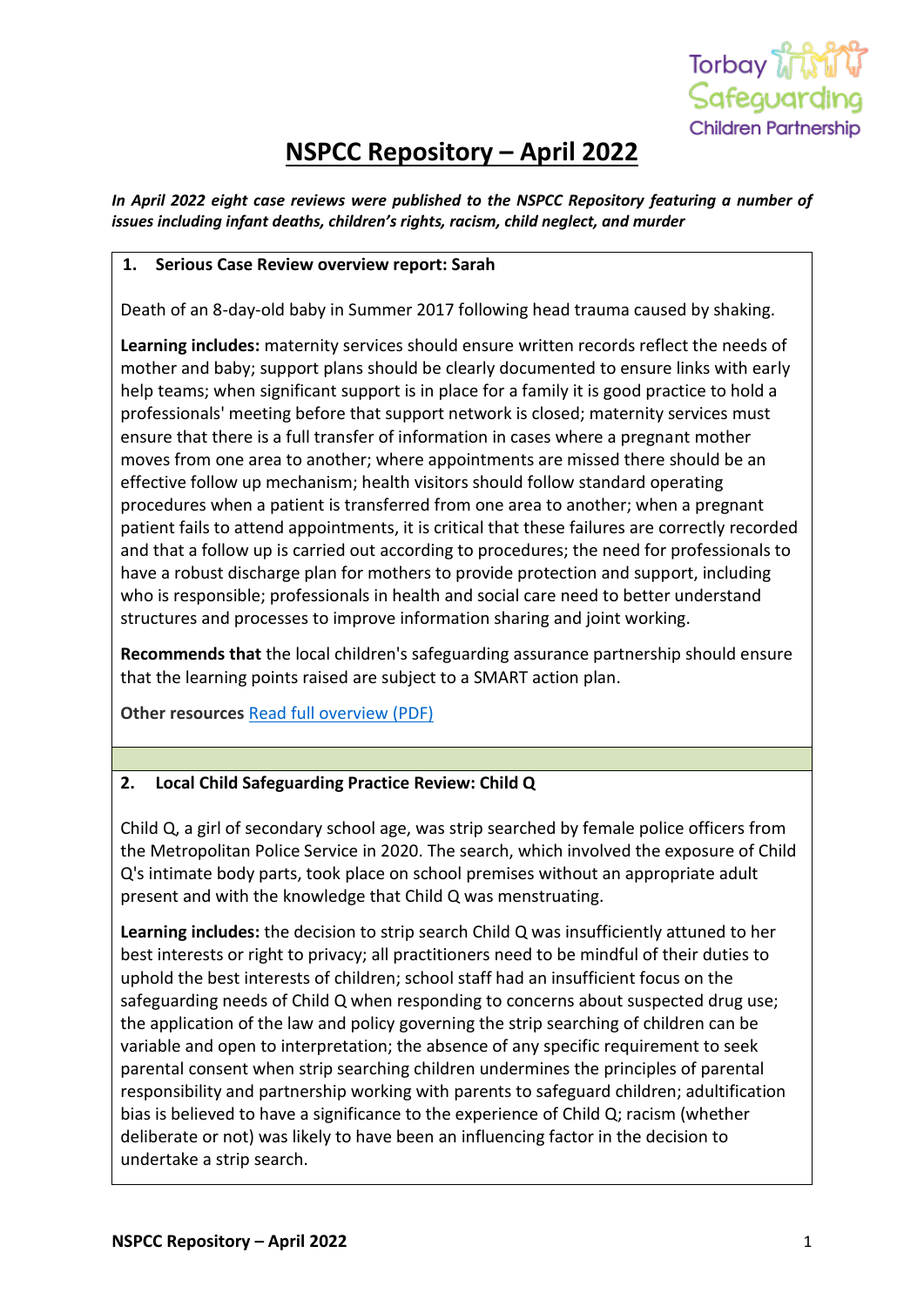

# **NSPCC Repository – April 2022**

*In April 2022 eight case reviews were published to the NSPCC Repository featuring a number of issues including infant deaths, children's rights, racism, child neglect, and murder*

#### **1. Serious Case Review overview report: Sarah**

Death of an 8-day-old baby in Summer 2017 following head trauma caused by shaking.

**Learning includes:** maternity services should ensure written records reflect the needs of mother and baby; support plans should be clearly documented to ensure links with early help teams; when significant support is in place for a family it is good practice to hold a professionals' meeting before that support network is closed; maternity services must ensure that there is a full transfer of information in cases where a pregnant mother moves from one area to another; where appointments are missed there should be an effective follow up mechanism; health visitors should follow standard operating procedures when a patient is transferred from one area to another; when a pregnant patient fails to attend appointments, it is critical that these failures are correctly recorded and that a follow up is carried out according to procedures; the need for professionals to have a robust discharge plan for mothers to provide protection and support, including who is responsible; professionals in health and social care need to better understand structures and processes to improve information sharing and joint working.

**Recommends that** the local children's safeguarding assurance partnership should ensure that the learning points raised are subject to a SMART action plan.

**Other resources** [Read full overview \(PDF\)](https://library.nspcc.org.uk/HeritageScripts/Hapi.dll/filetransfer/2022BlackburnWithDBLSarahOverview.pdf?filename=CC18C70DB7C8C3D49403BB94EB176F95207E5F66235DCA89651F5ED2BA5DA9311A353B626CC01241A3DF9A46C547B85A1CBFC6424E7E1981A1DD31430FF331207B8951BD1E0E8F3EA10EE19D5192F7FDDFCFBED66271CA5EF8B3985EDCEB667DC3E3C15B2394&DataSetName=LIVEDATA)

#### **2. Local Child Safeguarding Practice Review: Child Q**

Child Q, a girl of secondary school age, was strip searched by female police officers from the Metropolitan Police Service in 2020. The search, which involved the exposure of Child Q's intimate body parts, took place on school premises without an appropriate adult present and with the knowledge that Child Q was menstruating.

**Learning includes:** the decision to strip search Child Q was insufficiently attuned to her best interests or right to privacy; all practitioners need to be mindful of their duties to uphold the best interests of children; school staff had an insufficient focus on the safeguarding needs of Child Q when responding to concerns about suspected drug use; the application of the law and policy governing the strip searching of children can be variable and open to interpretation; the absence of any specific requirement to seek parental consent when strip searching children undermines the principles of parental responsibility and partnership working with parents to safeguard children; adultification bias is believed to have a significance to the experience of Child Q; racism (whether deliberate or not) was likely to have been an influencing factor in the decision to undertake a strip search.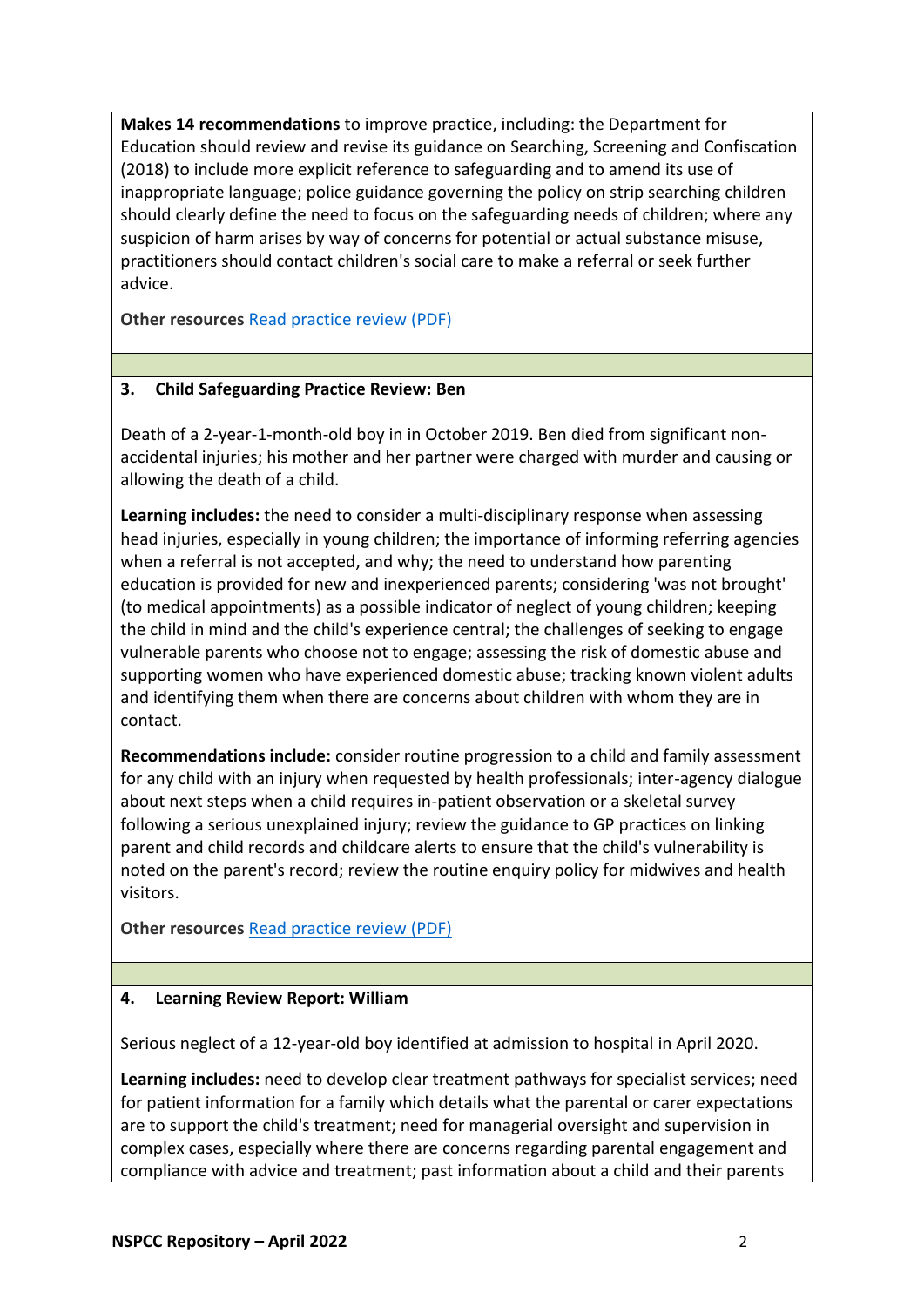**Makes 14 recommendations** to improve practice, including: the Department for Education should review and revise its guidance on Searching, Screening and Confiscation (2018) to include more explicit reference to safeguarding and to amend its use of inappropriate language; police guidance governing the policy on strip searching children should clearly define the need to focus on the safeguarding needs of children; where any suspicion of harm arises by way of concerns for potential or actual substance misuse, practitioners should contact children's social care to make a referral or seek further advice.

**Other resources** [Read practice review \(PDF\)](https://library.nspcc.org.uk/HeritageScripts/Hapi.dll/filetransfer/2022CityAndHackneyChildQCSPR.pdf?filename=CC18C70DB7C8C3D49403BB94EB176F95207E5F66235DCA89651F5ED2BA2CCB261D35602627B35910A88CC91F9960AD7817BDC8536D531DB8879B056525558692C81BE73B3B27DEA78FA419765EF590625EF035CF2A&DataSetName=LIVEDATA)

## **3. Child Safeguarding Practice Review: Ben**

Death of a 2-year-1-month-old boy in in October 2019. Ben died from significant nonaccidental injuries; his mother and her partner were charged with murder and causing or allowing the death of a child.

**Learning includes:** the need to consider a multi-disciplinary response when assessing head injuries, especially in young children; the importance of informing referring agencies when a referral is not accepted, and why; the need to understand how parenting education is provided for new and inexperienced parents; considering 'was not brought' (to medical appointments) as a possible indicator of neglect of young children; keeping the child in mind and the child's experience central; the challenges of seeking to engage vulnerable parents who choose not to engage; assessing the risk of domestic abuse and supporting women who have experienced domestic abuse; tracking known violent adults and identifying them when there are concerns about children with whom they are in contact.

**Recommendations include:** consider routine progression to a child and family assessment for any child with an injury when requested by health professionals; inter-agency dialogue about next steps when a child requires in-patient observation or a skeletal survey following a serious unexplained injury; review the guidance to GP practices on linking parent and child records and childcare alerts to ensure that the child's vulnerability is noted on the parent's record; review the routine enquiry policy for midwives and health visitors.

**Other resources** [Read practice review \(PDF\)](https://library.nspcc.org.uk/HeritageScripts/Hapi.dll/filetransfer/2022CroydonBenCSPR.pdf?filename=CC18C70DB7C8C3D49403BB94EB176F95207E5F66235DCA89651F5ED2BA2CCB261D357B3D2796581AA288C437A45586150FB0C2B15D279B122C45355649B343A3F2A28ACBB14C95653BD517&DataSetName=LIVEDATA)

# **4. Learning Review Report: William**

Serious neglect of a 12-year-old boy identified at admission to hospital in April 2020.

**Learning includes:** need to develop clear treatment pathways for specialist services; need for patient information for a family which details what the parental or carer expectations are to support the child's treatment; need for managerial oversight and supervision in complex cases, especially where there are concerns regarding parental engagement and compliance with advice and treatment; past information about a child and their parents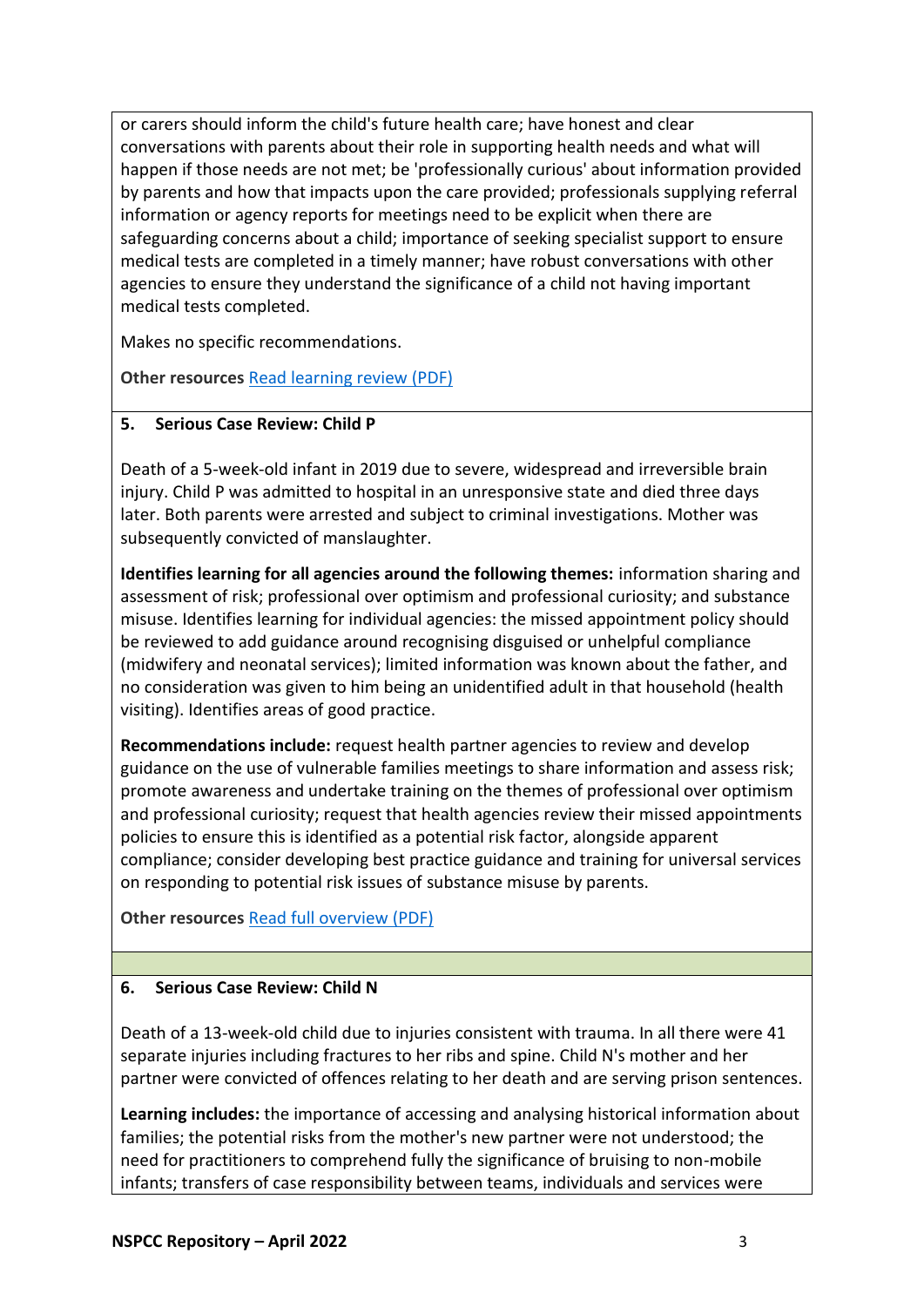or carers should inform the child's future health care; have honest and clear conversations with parents about their role in supporting health needs and what will happen if those needs are not met; be 'professionally curious' about information provided by parents and how that impacts upon the care provided; professionals supplying referral information or agency reports for meetings need to be explicit when there are safeguarding concerns about a child; importance of seeking specialist support to ensure medical tests are completed in a timely manner; have robust conversations with other agencies to ensure they understand the significance of a child not having important medical tests completed.

Makes no specific recommendations.

**Other resources** [Read learning review \(PDF\)](https://library.nspcc.org.uk/HeritageScripts/Hapi.dll/filetransfer/2022HampshireWilliamLearning.pdf?filename=CC18C70DB7C8C3D49403BB94EB176F95207E5F66235DCA89651F5ED2BA5DA9311A353B626CC01241A3DF9A46C54DB5560FA7CC5E4E751981B9D91C602EEC3533688F77A51C528933A2B2D600E30E7EF8D1FCDED367B23BB73780651750A7716CA3&DataSetName=LIVEDATA)

## **5. Serious Case Review: Child P**

Death of a 5-week-old infant in 2019 due to severe, widespread and irreversible brain injury. Child P was admitted to hospital in an unresponsive state and died three days later. Both parents were arrested and subject to criminal investigations. Mother was subsequently convicted of manslaughter.

**Identifies learning for all agencies around the following themes:** information sharing and assessment of risk; professional over optimism and professional curiosity; and substance misuse. Identifies learning for individual agencies: the missed appointment policy should be reviewed to add guidance around recognising disguised or unhelpful compliance (midwifery and neonatal services); limited information was known about the father, and no consideration was given to him being an unidentified adult in that household (health visiting). Identifies areas of good practice.

**Recommendations include:** request health partner agencies to review and develop guidance on the use of vulnerable families meetings to share information and assess risk; promote awareness and undertake training on the themes of professional over optimism and professional curiosity; request that health agencies review their missed appointments policies to ensure this is identified as a potential risk factor, alongside apparent compliance; consider developing best practice guidance and training for universal services on responding to potential risk issues of substance misuse by parents.

**Other resources** [Read full overview \(PDF\)](https://library.nspcc.org.uk/HeritageScripts/Hapi.dll/filetransfer/2022HampshireChildPOverview.pdf?filename=CC18C70DB7C8C3D49403BB94EB176F95207E5F66235DCA89651F5ED2BA2CCB261D3E683F2E815F1D9288E91C9E69B06B30A2C1454A792B9FFBC51167DBCEBB8AE018EE8BDF7EC985005CC84BF6F9FDBCD81F84BC&DataSetName=LIVEDATA)

# **6. Serious Case Review: Child N**

Death of a 13-week-old child due to injuries consistent with trauma. In all there were 41 separate injuries including fractures to her ribs and spine. Child N's mother and her partner were convicted of offences relating to her death and are serving prison sentences.

**Learning includes:** the importance of accessing and analysing historical information about families; the potential risks from the mother's new partner were not understood; the need for practitioners to comprehend fully the significance of bruising to non-mobile infants; transfers of case responsibility between teams, individuals and services were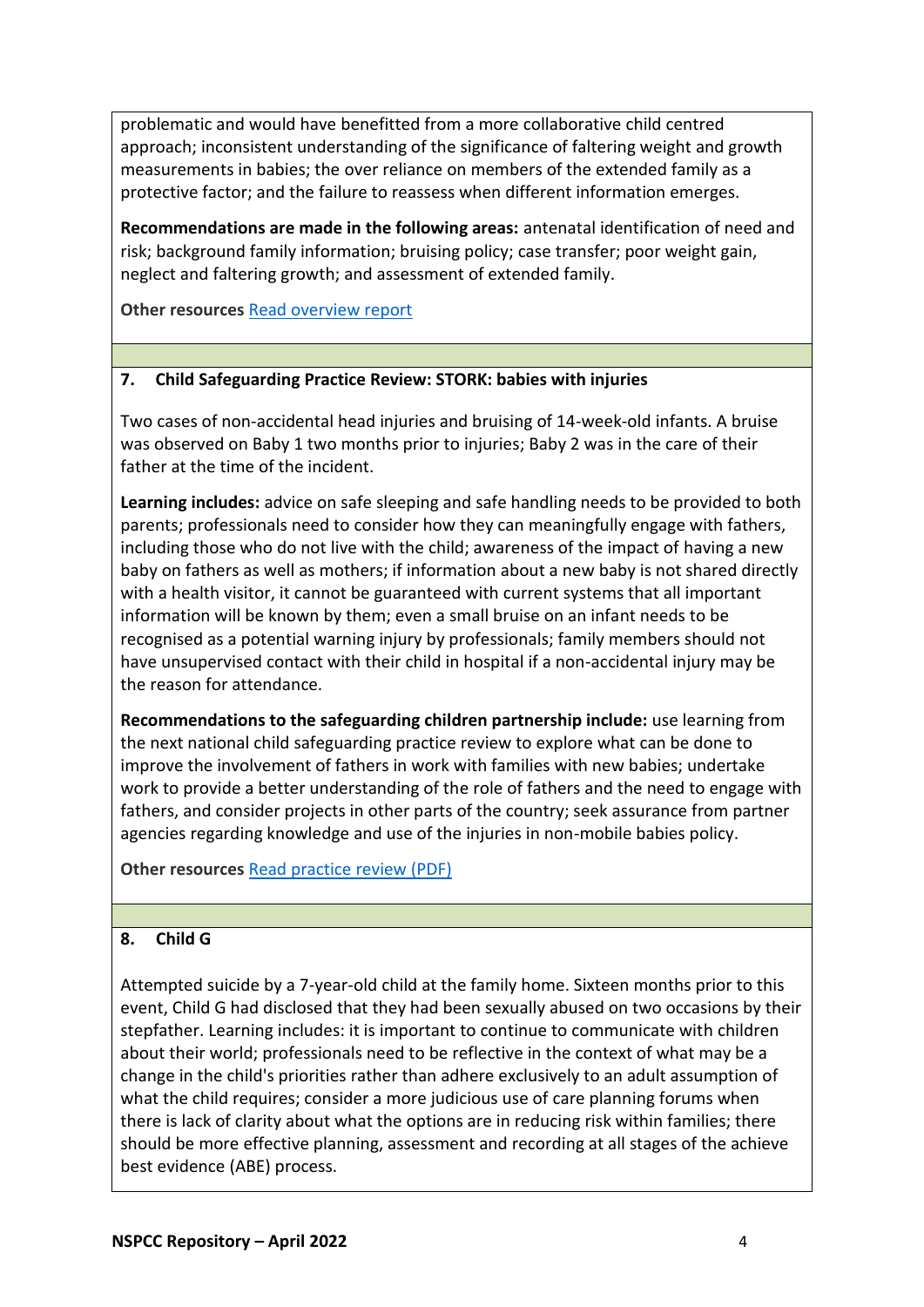problematic and would have benefitted from a more collaborative child centred approach; inconsistent understanding of the significance of faltering weight and growth measurements in babies; the over reliance on members of the extended family as a protective factor; and the failure to reassess when different information emerges.

**Recommendations are made in the following areas:** antenatal identification of need and risk; background family information; bruising policy; case transfer; poor weight gain, neglect and faltering growth; and assessment of extended family.

**Other resources** [Read overview report](https://library.nspcc.org.uk/HeritageScripts/Hapi.dll/filetransfer/2022HertfordshireChildNOverview.pdf?filename=CC18C70DB7C8C3D49403BB94EB176F95207E5F66235DCA89651F5ED2BA2CCB261D3E6C202A945806849EC21D8560975316B8C07973662B9AA3DC10766DD03434D5C4BB1081850917CDED3C8890087798DB3DE5A1A82D505F&DataSetName=LIVEDATA)

## **7. Child Safeguarding Practice Review: STORK: babies with injuries**

Two cases of non-accidental head injuries and bruising of 14-week-old infants. A bruise was observed on Baby 1 two months prior to injuries; Baby 2 was in the care of their father at the time of the incident.

**Learning includes:** advice on safe sleeping and safe handling needs to be provided to both parents; professionals need to consider how they can meaningfully engage with fathers, including those who do not live with the child; awareness of the impact of having a new baby on fathers as well as mothers; if information about a new baby is not shared directly with a health visitor, it cannot be guaranteed with current systems that all important information will be known by them; even a small bruise on an infant needs to be recognised as a potential warning injury by professionals; family members should not have unsupervised contact with their child in hospital if a non-accidental injury may be the reason for attendance.

**Recommendations to the safeguarding children partnership include:** use learning from the next national child safeguarding practice review to explore what can be done to improve the involvement of fathers in work with families with new babies; undertake work to provide a better understanding of the role of fathers and the need to engage with fathers, and consider projects in other parts of the country; seek assurance from partner agencies regarding knowledge and use of the injuries in non-mobile babies policy.

**Other resources** [Read practice review \(PDF\)](https://library.nspcc.org.uk/HeritageScripts/Hapi.dll/filetransfer/2022AnonymousStorkCSPR.pdf?filename=CC18C70DB7C8C3D49403BB94EB176F95207E5F66235DCA89651F5ED2BA2CCB261D37673D308B5A1B959EF9009877BF782C84F6194C742858E839ABFBBA50109FE087DB203479DFD9DB3BA29C27AC3C&DataSetName=LIVEDATA)

# **8. Child G**

Attempted suicide by a 7-year-old child at the family home. Sixteen months prior to this event, Child G had disclosed that they had been sexually abused on two occasions by their stepfather. Learning includes: it is important to continue to communicate with children about their world; professionals need to be reflective in the context of what may be a change in the child's priorities rather than adhere exclusively to an adult assumption of what the child requires; consider a more judicious use of care planning forums when there is lack of clarity about what the options are in reducing risk within families; there should be more effective planning, assessment and recording at all stages of the achieve best evidence (ABE) process.